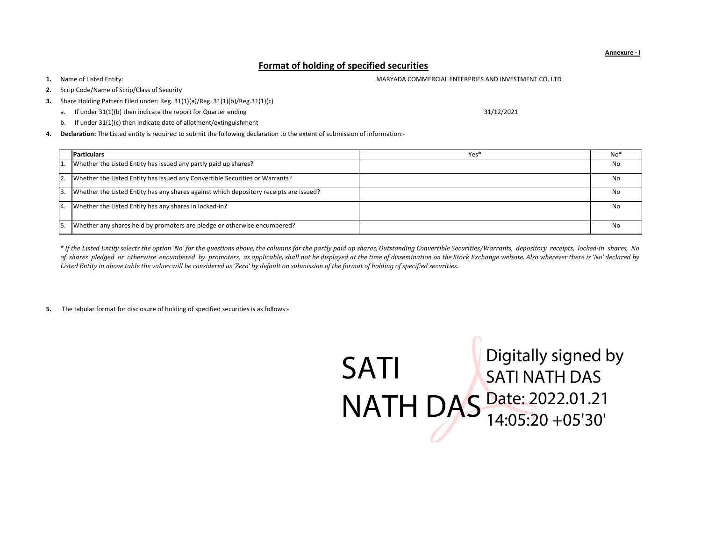## Format of holding of specified securities

1.Name of Listed Entity:

- 2.Scrip Code/Name of Scrip/Class of Security
- 3. Share Holding Pattern Filed under: Reg. 31(1)(a)/Reg. 31(1)(b)/Reg.31(1)(c)
	- a. If under 31(1)(b) then indicate the report for Quarter ending
	- b. If under 31(1)(c) then indicate date of allotment/extinguishment
- 4. Declaration: The Listed entity is required to submit the following declaration to the extent of submission of information:-

|                  | <b>Particulars</b>                                                                     | Yes* | No*       |
|------------------|----------------------------------------------------------------------------------------|------|-----------|
| 1.               | Whether the Listed Entity has issued any partly paid up shares?                        |      | No        |
| I2.              | Whether the Listed Entity has issued any Convertible Securities or Warrants?           |      | No        |
| 3.               | Whether the Listed Entity has any shares against which depository receipts are issued? |      | No        |
| $\overline{4}$ . | Whether the Listed Entity has any shares in locked-in?                                 |      | No        |
| 5.               | Whether any shares held by promoters are pledge or otherwise encumbered?               |      | <b>No</b> |

\* If the Listed Entity selects the option 'No' for the questions above, the columns for the partly paid up shares, Outstanding Convertible Securities/Warrants, depository receipts, locked-in shares, No of shares pledged or otherwise encumbered by promoters, as applicable, shall not be displayed at the time of dissemination on the Stock Exchange website. Also wherever there is 'No' declared by Listed Entity in above table the values will be considered as 'Zero' by default on submission of the format of holding of specified securities.

5. The tabular format for disclosure of holding of specified securities is as follows:-



31/12/2021

MARYADA COMMERCIAL ENTERPRIES AND INVESTMENT CO. LTD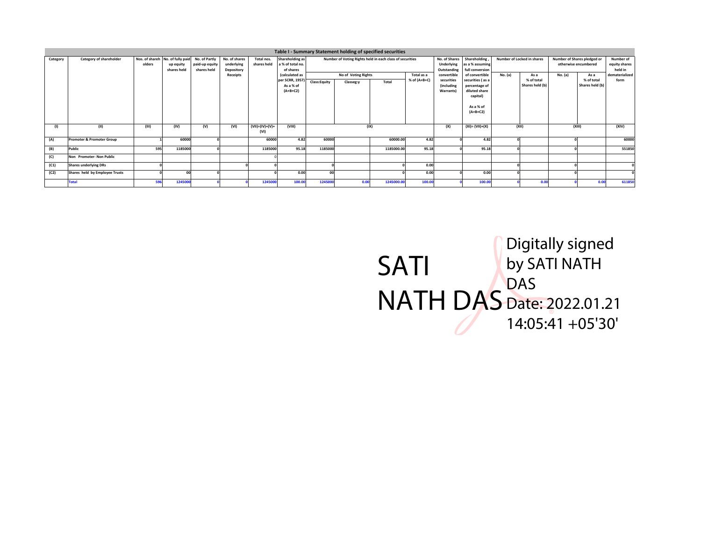|          |                                      |        |                                                                            |                               |                                                              |                           |                                                                    |                                                                                               |           | Table I - Summary Statement holding of specified securities |                                                           |                                                                      |                                                                                           |                                    |                               |                                                             |                                                         |        |
|----------|--------------------------------------|--------|----------------------------------------------------------------------------|-------------------------------|--------------------------------------------------------------|---------------------------|--------------------------------------------------------------------|-----------------------------------------------------------------------------------------------|-----------|-------------------------------------------------------------|-----------------------------------------------------------|----------------------------------------------------------------------|-------------------------------------------------------------------------------------------|------------------------------------|-------------------------------|-------------------------------------------------------------|---------------------------------------------------------|--------|
| Category | Category of shareholder              | olders | Nos. of shareh No. of fully paid No. of Partly<br>up equity<br>shares held | paid-up equity<br>shares held | No. of shares<br>underlying<br>Depository<br><b>Receipts</b> | Total nos.<br>shares held | Shareholding as<br>a % of total no.<br>of shares<br>(calculated as | Number of Voting Rights held in each class of securities<br>No of Voting Rights<br>Total as a |           |                                                             | No. of Shares<br>Underlying<br>Outstanding<br>convertible | Shareholding<br>as a % assuming<br>full conversion<br>of convertible | No. (a)                                                                                   | Number of Locked in shares<br>As a |                               | Number of Shares pledged or<br>otherwise encumbered<br>As a | Number of<br>equity shares<br>held in<br>dematerialized |        |
|          |                                      |        |                                                                            |                               |                                                              |                           | per SCRR, 1957)<br>As a % of<br>$(A+B+C2)$                         | Class:Equity                                                                                  | Classeg:y | Total                                                       | % of (A+B+C)                                              | securities<br><i>lincluding</i><br>Warrants)                         | securities (as a<br>percentage of<br>diluted share<br>capital)<br>As a % of<br>$(A+B+C2)$ |                                    | % of total<br>Shares held (b) | No. (a)                                                     | % of total<br>Shares held (b)                           | form   |
| (1)      | (11)                                 | (III)  | (IV)                                                                       | (V)                           | (VI)                                                         | $(VII)=(IV)+(V)+$<br>(VI) | (VIII)                                                             |                                                                                               |           | (IX)                                                        |                                                           | (X)                                                                  | $(XI) = (VII)+(X)$                                                                        |                                    | (XII)                         | (XIII)                                                      |                                                         | (XIV)  |
| (A)      | <b>Promoter &amp; Promoter Group</b> |        | 60000                                                                      |                               |                                                              | 60000                     | 4.82                                                               | 60000                                                                                         |           | 60000.00                                                    | 4.82                                                      |                                                                      | 4.82                                                                                      |                                    |                               |                                                             |                                                         | 60000  |
| (B)      | Public                               | 595    | 1185000                                                                    |                               |                                                              | 1185000                   | 95.18                                                              | 1185000                                                                                       |           | 1185000.00                                                  | 95.18                                                     |                                                                      | 95.18                                                                                     |                                    |                               |                                                             |                                                         | 551850 |
| (C)      | Non Promoter- Non Public             |        |                                                                            |                               |                                                              |                           |                                                                    |                                                                                               |           |                                                             |                                                           |                                                                      |                                                                                           |                                    |                               |                                                             |                                                         |        |
| (C1)     | <b>Shares underlying DRs</b>         |        |                                                                            |                               |                                                              |                           |                                                                    |                                                                                               |           |                                                             | 0.00                                                      |                                                                      |                                                                                           |                                    |                               |                                                             |                                                         |        |
| (C2)     | Shares held by Employee Trusts       |        | 00                                                                         |                               |                                                              |                           | 0.00                                                               | nn                                                                                            |           |                                                             | 0.00                                                      |                                                                      | 0.00                                                                                      |                                    |                               |                                                             |                                                         |        |
|          | <b>Total</b>                         | 596    | 1245000                                                                    |                               |                                                              | 1245000                   | 100.00                                                             | 1245000                                                                                       | 0.00      | 1245000.00                                                  | 100.00                                                    |                                                                      | 100.00                                                                                    |                                    | 0.00                          |                                                             | 0.00                                                    | 611850 |

SATI NATH DAS Digitally signed by SATI NATH DAS Date: 2022.01.21 14:05:41 +05'30'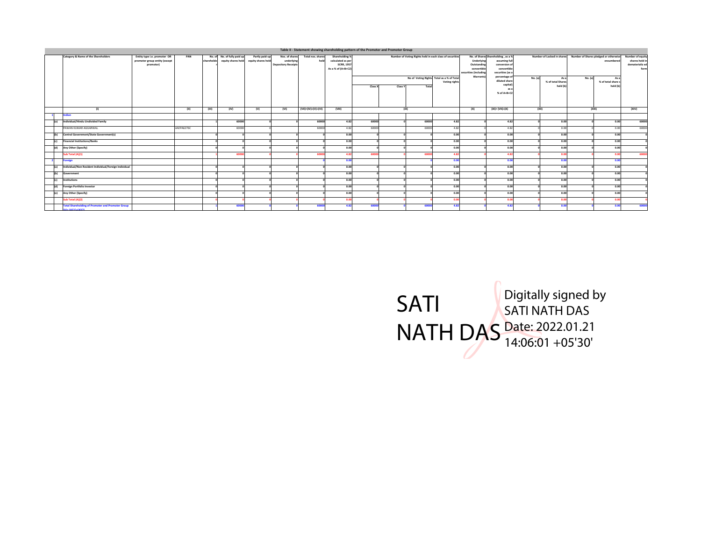|                  | Table II - Statement showing shareholding pattern of the Promoter and Promoter Group |                                                                            |            |            |                                                   |                                      |                                                            |                           |                                                                               |         |         |                                                                                                                |               |                                                                                |                                                                                                                                                                           |         |                                                                                                           |         |                                                    |                                                               |
|------------------|--------------------------------------------------------------------------------------|----------------------------------------------------------------------------|------------|------------|---------------------------------------------------|--------------------------------------|------------------------------------------------------------|---------------------------|-------------------------------------------------------------------------------|---------|---------|----------------------------------------------------------------------------------------------------------------|---------------|--------------------------------------------------------------------------------|---------------------------------------------------------------------------------------------------------------------------------------------------------------------------|---------|-----------------------------------------------------------------------------------------------------------|---------|----------------------------------------------------|---------------------------------------------------------------|
|                  | Category & Name of the Shareholders                                                  | Entity type i.e. promoter OR<br>promoter group entity (except<br>promotor) | PAN        | shareholde | No. of No. of fully paid up<br>equity shares held | Partly paid-up<br>equity shares held | Nos. of shares<br>underlying<br><b>Depository Receipts</b> | Total nos. shares<br>held | Shareholding %<br>calculated as per<br><b>SCRR, 195</b><br>As a % of (A+B+C2) | Class X | Class Y | Number of Voting Rights held in each class of securities<br>No of Voting Rights Total as a % of Total<br>Total | Voting rights | Underlying<br>Outstanding<br>convertible<br>securities (including<br>Warrants) | No. of Shares Shareholding, as a %<br>assuming full<br>conversion o<br>convertible<br>securities (as a<br>percentage o<br>diluted share<br>capital<br>as a<br>% of A+B+C2 | No. (a) | Number of Locked in shares Number of Shares pledged or otherwise<br>As a<br>% of total Shares<br>held (b) | No. (a) | encumbered<br>$A +$<br>% of total share<br>held (b | Number of equity<br>shares held in<br>dematerializ ed<br>form |
|                  | (1)                                                                                  |                                                                            | (11)       | (III)      | (IV)                                              | (v)                                  | (VI)                                                       | (VII)=(IV)+(V)+(VI)       | (VIII)                                                                        |         |         | ( X )                                                                                                          |               | (X)                                                                            | $(XI) = (VII) + (X)$                                                                                                                                                      | (XII)   |                                                                                                           | (XIII)  |                                                    | (XIV)                                                         |
|                  | Indian                                                                               |                                                                            |            |            |                                                   |                                      |                                                            |                           |                                                                               |         |         |                                                                                                                |               |                                                                                |                                                                                                                                                                           |         |                                                                                                           |         |                                                    |                                                               |
| l(a)             | Individual/Hindu Undivided Family                                                    |                                                                            |            |            | 60000                                             |                                      |                                                            | 60000                     | 4.82                                                                          | 60000   |         | 60000                                                                                                          | 4.82          |                                                                                | 4.82                                                                                                                                                                      |         | 0.00                                                                                                      |         | 0.00                                               | 60000                                                         |
|                  | PAWAN KUMAR AGGARWAL                                                                 |                                                                            | AAEPA6276C |            | 60000                                             |                                      |                                                            | 60000                     | 4.82                                                                          | 60000   |         | 60000                                                                                                          | 4.82          |                                                                                | 4.82                                                                                                                                                                      |         | 0.00                                                                                                      |         | 0.00                                               | 60000                                                         |
| l(ы              | Central Government/State Government(s)                                               |                                                                            |            |            |                                                   |                                      |                                                            |                           | 0.00                                                                          |         |         |                                                                                                                | 0.00          |                                                                                | 0.00                                                                                                                                                                      |         | 0.00                                                                                                      |         | 0.00                                               |                                                               |
| (c)              | <b>Financial Institutions/Banks</b>                                                  |                                                                            |            |            |                                                   |                                      |                                                            |                           | 0.00                                                                          |         |         |                                                                                                                | 0.00          |                                                                                | 0.00                                                                                                                                                                      |         | 0.00                                                                                                      |         | 0.00                                               |                                                               |
| (d)              | Any Other (Specify)                                                                  |                                                                            |            |            |                                                   |                                      |                                                            |                           | 0.00                                                                          |         |         |                                                                                                                | 0.00          |                                                                                | 0.00                                                                                                                                                                      |         | 0.00                                                                                                      |         | 0.00                                               |                                                               |
|                  | Sub Total (A)(1)                                                                     |                                                                            |            |            | 60000                                             |                                      |                                                            | 60000                     | 48                                                                            | 60001   |         | 6000                                                                                                           | 4.82          |                                                                                | 4.8                                                                                                                                                                       |         | 0.00                                                                                                      |         | 00                                                 | 60000                                                         |
|                  | Foreign                                                                              |                                                                            |            |            |                                                   |                                      |                                                            |                           | 0.01                                                                          |         |         |                                                                                                                | 0.00          |                                                                                | 0.00                                                                                                                                                                      |         | 0.00                                                                                                      |         | 0.00                                               |                                                               |
| l(a)             | Individual/Non Resident Individual/Foreign Individual                                |                                                                            |            |            |                                                   |                                      |                                                            |                           | 0.00                                                                          |         |         |                                                                                                                | 0.00          |                                                                                | 0.00                                                                                                                                                                      |         | 0.00                                                                                                      |         | 0.00                                               |                                                               |
| l(ы              | Government                                                                           |                                                                            |            |            |                                                   |                                      |                                                            |                           | 0.00                                                                          |         |         |                                                                                                                | 0.00          |                                                                                | 0.00                                                                                                                                                                      |         | 0.00                                                                                                      |         | 0.00                                               |                                                               |
| $ _{\text{[c]}}$ | Institutions                                                                         |                                                                            |            |            |                                                   |                                      |                                                            |                           | 0.00                                                                          |         |         |                                                                                                                | 0.00          |                                                                                | 0.00                                                                                                                                                                      |         | 0.00                                                                                                      |         | 0.00                                               |                                                               |
| (d)              | <b>Foreign Portfolio Investor</b>                                                    |                                                                            |            |            |                                                   |                                      |                                                            |                           | 0.00                                                                          |         |         |                                                                                                                | 0.00          |                                                                                | 0.00                                                                                                                                                                      |         | 0.00                                                                                                      |         | 0.00                                               |                                                               |
| e                | Any Other (Specify)                                                                  |                                                                            |            |            |                                                   |                                      |                                                            |                           | 0.00                                                                          |         |         |                                                                                                                | 0.00          |                                                                                | 0.00                                                                                                                                                                      |         | 0.00                                                                                                      |         | 0.00                                               |                                                               |
|                  | Sub Total (A)(2)                                                                     |                                                                            |            |            |                                                   |                                      |                                                            |                           | 0.0                                                                           |         |         |                                                                                                                | 0.00          |                                                                                | 0.0                                                                                                                                                                       |         | 0.00                                                                                                      |         | 0.00                                               |                                                               |
|                  | <b>Total Shareholding of Promoter and Promoter Group</b><br><b>A. Pancan Concern</b> |                                                                            |            |            | 60000                                             |                                      |                                                            | 60000                     | 4.82                                                                          | 60000   |         |                                                                                                                | 4.82          |                                                                                | 4.82                                                                                                                                                                      |         | 0.00                                                                                                      |         | n on                                               | 60000                                                         |

SATI NATH DAS Digitally signed by SATI NATH DAS Date: 2022.01.21 14:06:01 +05'30'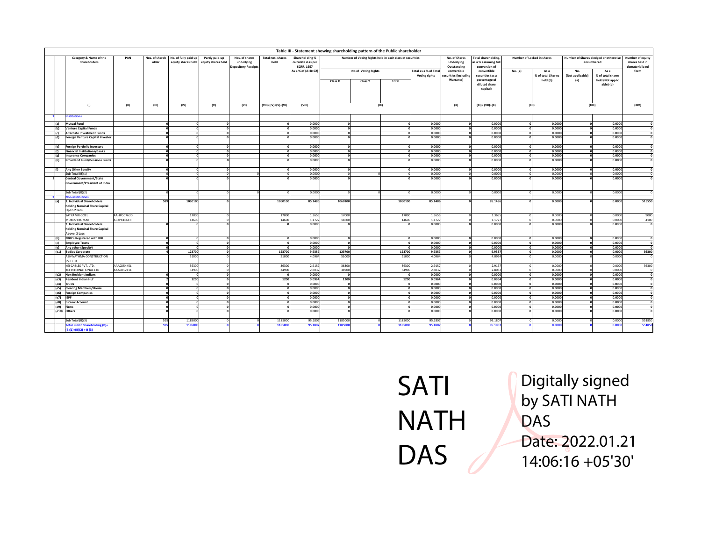|                                                                                   |            |                         |                                            |                                      |                                                            |                           |                                                                                  | Table III - Statement showing shareholding pattern of the Public shareholder |                                                                                 |              |                       |                                                           |                                                                                 |         |                                    |                         |                                                             |                                                               |
|-----------------------------------------------------------------------------------|------------|-------------------------|--------------------------------------------|--------------------------------------|------------------------------------------------------------|---------------------------|----------------------------------------------------------------------------------|------------------------------------------------------------------------------|---------------------------------------------------------------------------------|--------------|-----------------------|-----------------------------------------------------------|---------------------------------------------------------------------------------|---------|------------------------------------|-------------------------|-------------------------------------------------------------|---------------------------------------------------------------|
| Category & Name of the<br>Shareholders                                            | PAN        | Nos. of shareh<br>older | No. of fully paid up<br>equity shares held | Partly paid-up<br>equity shares held | Nos. of shares<br>underlying<br><b>Depository Receipts</b> | Total nos. shares<br>held | Sharehol ding %<br>calculate d as per<br><b>SCRR, 1957</b><br>As a % of (A+B+C2) |                                                                              | Number of Voting Rights held in each class of securities<br>No of Voting Rights |              | Total as a % of Total | No. of Shares<br>Underlying<br>Outstanding<br>convertible | <b>Total shareholding</b><br>s a % assuming ful<br>conversion of<br>convertible | No. (a) | Number of Locked in shares<br>As a | No.                     | Number of Shares pledged or otherwise<br>encumbered<br>As a | Number of equity<br>shares held in<br>dematerializ ed<br>form |
|                                                                                   |            |                         |                                            |                                      |                                                            |                           |                                                                                  | Class X                                                                      | Class Y                                                                         | Total        | Voting rights         | securities (including<br>Warrants)                        | securities (as a<br>percentage of<br>diluted share                              |         | % of total Shar es<br>held (b)     | (Not applicable)<br>(a) | % of total shares<br>held (Not applic<br>able) (b)          |                                                               |
|                                                                                   |            |                         |                                            |                                      |                                                            |                           |                                                                                  |                                                                              |                                                                                 |              |                       |                                                           | capital)                                                                        |         |                                    |                         |                                                             |                                                               |
| (1)                                                                               | (II)       | (III)                   | (IV)                                       | (V)                                  | (VI)                                                       | (VII)=(IV)+(V)+(VI)       | (VIII)                                                                           |                                                                              | (IX)                                                                            |              |                       | (X)                                                       | $(XI) = (VII)+(X)$                                                              |         | (XII)                              |                         | (XIII)                                                      | (XIV)                                                         |
| <b>nstitutions</b>                                                                |            |                         |                                            |                                      |                                                            |                           |                                                                                  |                                                                              |                                                                                 |              |                       |                                                           |                                                                                 |         |                                    |                         |                                                             |                                                               |
| <b>Mutual Fund</b><br>l(a)                                                        |            |                         |                                            |                                      |                                                            |                           | 0.0000                                                                           | $\sim$                                                                       |                                                                                 |              | 0.0000                |                                                           | 0.0000                                                                          |         | 0.0000                             |                         | 0.0000                                                      |                                                               |
| <b>Venture Capital Funds</b><br>(b)                                               |            |                         | O                                          | $\Omega$                             |                                                            |                           | 0.0000                                                                           | $\Omega$                                                                     |                                                                                 |              | 0.0000                |                                                           | 0.0000                                                                          |         | 0.0000                             |                         | 0.0000                                                      |                                                               |
| <b>Alternate Investment Funds</b>                                                 |            |                         | $\Omega$                                   | $\Omega$                             |                                                            |                           | 0.0000                                                                           | $\Omega$                                                                     |                                                                                 |              | 0.0000                |                                                           | 0.0000                                                                          |         | 0.0000                             |                         | 0.0000                                                      |                                                               |
| <b>Foreign Venture Capital Investor</b>                                           |            |                         |                                            |                                      |                                                            |                           | 0.0000                                                                           |                                                                              |                                                                                 |              | 0.0000                |                                                           | 0.0000                                                                          |         | 0.0000                             |                         | 0.0000                                                      |                                                               |
| <b>Foreign Portfolio Investors</b><br>(e)                                         |            |                         |                                            |                                      |                                                            |                           | 0.0000<br>0.0000                                                                 |                                                                              |                                                                                 |              | 0.0000<br>0.0000      |                                                           | 0.0000                                                                          |         | 0.0000<br>0.0000                   |                         | 0.0000                                                      |                                                               |
| <b>Financial Institutions/Banks</b><br><b>Insurance Companies</b><br>$\{\sigma\}$ |            |                         | $\Omega$<br>$\Omega$                       | $\Omega$<br>$\Omega$                 |                                                            |                           | 0.0000                                                                           | $\Omega$                                                                     |                                                                                 |              | 0.0000                |                                                           | 0.0000<br>0.0000                                                                |         | 0.0000                             |                         | 0.0000<br>0.0000                                            |                                                               |
| <b>Providend Fund/Pensions Funds</b>                                              |            |                         |                                            |                                      |                                                            |                           | 0.0000                                                                           |                                                                              |                                                                                 |              | 0.0000                |                                                           | 0.0000                                                                          |         | 0.0000                             |                         | 0.0000                                                      |                                                               |
|                                                                                   |            |                         |                                            |                                      |                                                            |                           |                                                                                  |                                                                              |                                                                                 |              |                       |                                                           |                                                                                 |         |                                    |                         |                                                             |                                                               |
| Any Other Specify                                                                 |            |                         |                                            |                                      |                                                            |                           | 0.0000                                                                           | $\sqrt{2}$                                                                   |                                                                                 |              | 0.0000                |                                                           | 0.0000                                                                          |         | 0.0000                             |                         | 0.0000                                                      |                                                               |
| Sub Total (B)(1)                                                                  |            |                         |                                            |                                      |                                                            |                           | 0.0000<br>0.0000                                                                 |                                                                              |                                                                                 |              | 0.0000<br>0.0000      |                                                           | 0.0000<br>0.0000                                                                |         | 0.0000<br>0.0000                   |                         | 0.0000                                                      |                                                               |
| <b>Central Government/State</b><br>Government/President of India                  |            |                         |                                            |                                      |                                                            |                           |                                                                                  |                                                                              |                                                                                 |              |                       |                                                           |                                                                                 |         |                                    |                         | 0.0000                                                      |                                                               |
| Sub Total (B)(2)                                                                  |            |                         |                                            |                                      |                                                            |                           | 0.0000                                                                           |                                                                              |                                                                                 |              | 0.0000                |                                                           | 0.0000                                                                          |         | 0.0000                             |                         | 0.0000                                                      |                                                               |
| <b>Non-Institutions</b>                                                           |            |                         |                                            |                                      |                                                            |                           |                                                                                  |                                                                              |                                                                                 |              |                       |                                                           |                                                                                 |         |                                    |                         |                                                             |                                                               |
| 1. Individual Shareholders<br>(a)<br>holding Nominal Share Capital                |            | 589                     | 1060100                                    |                                      |                                                            | 1060100                   | 85.1486                                                                          | 1060100                                                                      |                                                                                 | 1060100      | 85.1486               |                                                           | 85.1486                                                                         |         | 0.0000                             |                         | 0.0000                                                      | 515550                                                        |
| Up to 2 Lacs                                                                      |            |                         |                                            |                                      |                                                            |                           |                                                                                  |                                                                              |                                                                                 |              |                       |                                                           |                                                                                 |         |                                    |                         |                                                             |                                                               |
| SATYA VIR GOEL                                                                    | AAHPG0763D |                         | 17000                                      |                                      |                                                            | 17000                     | 1.3655                                                                           | 17000                                                                        |                                                                                 | 17000        | 1.3655                |                                                           | 1.3655                                                                          |         | 0.0000                             |                         | 0.0000                                                      | 9000                                                          |
| MUKESH KUMAR<br>2. Individual Shareholders                                        | APXPK1661B |                         | 14600                                      |                                      |                                                            | 14600                     | 1.1727<br>0.0000                                                                 | 14600                                                                        |                                                                                 | 14600        | 1.1727<br>0.0000      |                                                           | 1.1727<br>0.0000                                                                |         | 0.0000<br>0.0000                   |                         | 0.0000<br>0.0000                                            | 4100                                                          |
| holding Nominal Share Capital                                                     |            |                         |                                            |                                      |                                                            |                           |                                                                                  |                                                                              |                                                                                 |              |                       |                                                           |                                                                                 |         |                                    |                         |                                                             |                                                               |
| Above 2 Lacs                                                                      |            |                         |                                            |                                      |                                                            |                           |                                                                                  |                                                                              |                                                                                 |              |                       |                                                           |                                                                                 |         |                                    |                         |                                                             |                                                               |
| <b>NBFCs Registered with RBI</b>                                                  |            |                         | ΩI                                         |                                      |                                                            |                           | 0.0000                                                                           | $\sqrt{2}$                                                                   |                                                                                 |              | 0.0000                |                                                           | 0.0000                                                                          |         | 0.0000                             |                         | 0.0000                                                      |                                                               |
| <b>Employee Trusts</b><br>l(c)                                                    |            |                         | $\circ$                                    | $\mathbf{0}$                         |                                                            |                           | 0.0000                                                                           | $\mathbf{o}$                                                                 |                                                                                 | - Ol         | 0.0000                |                                                           | 0.0000                                                                          |         | 0.0000<br>$\Omega$                 |                         | 0.0000                                                      |                                                               |
| Any other (Specity)<br>(e)                                                        |            |                         | $\mathbf{r}$                               | $\Omega$                             |                                                            |                           | 0.0000                                                                           | $\Omega$                                                                     |                                                                                 |              | 0.0000                |                                                           | 0.0000                                                                          |         | 0.0000<br>$\Omega$                 |                         | 0.0000                                                      |                                                               |
| (e1)<br><b>Bodies Corporate</b>                                                   |            |                         | 123700                                     |                                      |                                                            | 123700                    | 9.9357                                                                           | 123700                                                                       |                                                                                 | 123700       | 9.9357                |                                                           | 9.9357                                                                          |         | 0.0000                             |                         | 0.0000                                                      | 36300                                                         |
| ASHWATHMA CONSTRUCTION<br>PVT LTD                                                 |            |                         | 51000                                      |                                      |                                                            | 51000                     | 4.0964                                                                           | 51000                                                                        |                                                                                 | 51000        | 4.0964                |                                                           | 4.0964                                                                          |         | 0.0000                             |                         | 0.0000                                                      |                                                               |
| KEI CABLES PVT. LTD.                                                              | AAACK5445L |                         | 36300                                      |                                      |                                                            | 36300                     | 2.9157                                                                           | 36300                                                                        |                                                                                 | 36300        | 2.9157                |                                                           | 2.9157                                                                          |         | 0.0000                             |                         | 0.0000                                                      | 36300                                                         |
| KEI INTERNATIONAL LTD                                                             | AAACK1211E |                         | 34900                                      |                                      |                                                            | 34900                     | 2.8032                                                                           | 34900                                                                        |                                                                                 | 34900        | 2.8032                |                                                           | 2.8032                                                                          |         | 0.0000                             |                         | 0.0000                                                      |                                                               |
| <b>Non Resident Indians</b><br>(e2)<br><b>Resident Indian Huf</b><br>(e3)         |            |                         | 1200                                       | $\sqrt{2}$<br>$\Omega$               |                                                            | 1200                      | 0.0000<br>0.0964                                                                 | 1200                                                                         |                                                                                 | 1200         | 0.0000<br>0.0964      |                                                           | 0.0000<br>0.0964                                                                |         | 0.0000<br>0.0000<br>$\Omega$       |                         | 0.0000<br>0.0000                                            |                                                               |
| (e4)<br><b>Trusts</b>                                                             |            |                         | $\Omega$                                   | $\Omega$                             |                                                            |                           | 0.0000                                                                           |                                                                              |                                                                                 |              | 0.0000                |                                                           | 0.0000                                                                          |         | 0.0000                             |                         | 0.0000                                                      |                                                               |
| <b>Clearing Members/House</b><br>(e5)                                             |            |                         | $\Omega$                                   | $\Omega$                             |                                                            |                           | 0.0000                                                                           | $\Omega$                                                                     |                                                                                 |              | 0.0000                |                                                           | 0.0000                                                                          |         | 0.0000                             |                         | 0.0000                                                      |                                                               |
| (e6)<br><b>Foreign Companies</b>                                                  |            |                         | <b>nl</b>                                  | $\sim$                               |                                                            |                           | 0.0000                                                                           | $\overline{a}$                                                               |                                                                                 |              | 0.0000                |                                                           | 0.0000                                                                          |         | 0.0000                             |                         | 0.0000                                                      |                                                               |
| (e7)<br><b>IEPF</b>                                                               |            |                         |                                            |                                      |                                                            |                           | 0.0000                                                                           |                                                                              |                                                                                 |              | 0.0000                |                                                           | 0.0000                                                                          |         | 0.0000                             |                         | 0.0000                                                      |                                                               |
| (e8)<br><b>Escrow Account</b>                                                     |            |                         | ΩI                                         | $\Omega$                             |                                                            |                           | 0.0000                                                                           | $\Omega$                                                                     |                                                                                 | <sub>0</sub> | 0.0000                |                                                           | 0.0000                                                                          |         | 0.0000<br>$\Omega$                 |                         | 0.0000                                                      |                                                               |
| (e9)<br>Firms                                                                     |            |                         | ۵I                                         | $\Omega$                             |                                                            |                           | 0.0000                                                                           |                                                                              |                                                                                 |              | 0.0000                |                                                           | 0.0000                                                                          |         | 0.0000                             |                         | 0.0000                                                      |                                                               |
| (e10) Others                                                                      |            |                         |                                            |                                      |                                                            |                           | 0.0000                                                                           |                                                                              |                                                                                 |              | 0.0000                |                                                           | 0.0000                                                                          |         | 0.0000                             |                         | 0.0000                                                      |                                                               |
| Sub Total (B)(3)                                                                  |            | 595                     | 1185000                                    |                                      |                                                            | 118500                    | 95.1807                                                                          | 1185000                                                                      |                                                                                 | 1185000      | 95.1807               |                                                           | 95.180                                                                          |         | 0.0000                             |                         | 0.0000                                                      | 551850                                                        |
| <b>Total Public Shareholding (B)=</b><br>$(B)(1)+(B)(2)+B(3)$                     |            |                         | 118500                                     |                                      |                                                            | 11850                     | 95.1807                                                                          | 118500                                                                       |                                                                                 | 1185000      | 95.1807               |                                                           | 95.180                                                                          |         | 0.000                              |                         | 0.0001                                                      | 55185                                                         |

## SATI NATH DAS

Digitally signed by SATI NATH DAS Date: 2022.01.21 14:06:16 +05'30'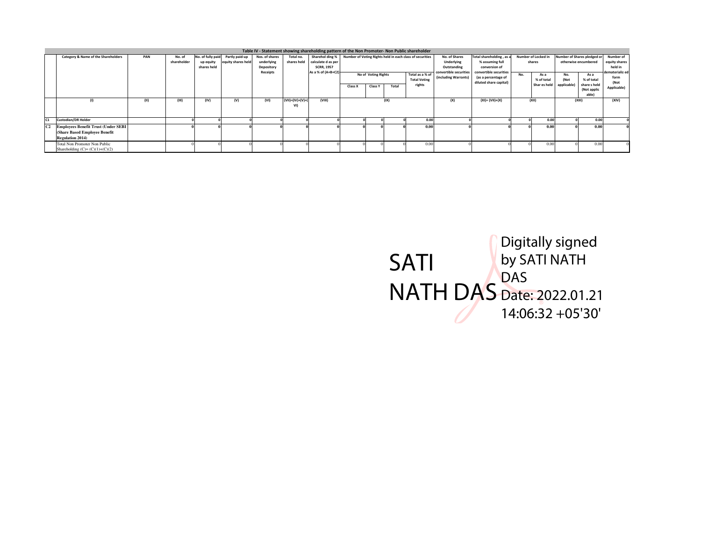|                |                                                                                                         |      |             |                          |                    |                          |                             | Table IV - Statement showing shareholding pattern of the Non Promoter- Non Public shareholder |         |                     |       |                                                          |                                                |                                                                         |     |                     |             |                                     |                                 |
|----------------|---------------------------------------------------------------------------------------------------------|------|-------------|--------------------------|--------------------|--------------------------|-----------------------------|-----------------------------------------------------------------------------------------------|---------|---------------------|-------|----------------------------------------------------------|------------------------------------------------|-------------------------------------------------------------------------|-----|---------------------|-------------|-------------------------------------|---------------------------------|
|                | Category & Name of the Shareholders                                                                     | PAN  | No. of      | No. of fully paid        | Partly paid-up     | Nos. of shares           | Total no.                   | Sharehol ding %                                                                               |         |                     |       | Number of Voting Rights held in each class of securities | No. of Shares                                  | Total shareholding, as a                                                |     | Number of Locked in |             | Number of Shares pledged or         | Number of                       |
|                |                                                                                                         |      | shareholder | up equity<br>shares held | equity shares held | underlying<br>Depository | shares held                 | calculate d as per<br><b>SCRR, 1957</b>                                                       |         |                     |       |                                                          | Underlying<br>Outstanding                      | % assuming full<br>conversion of                                        |     | shares              |             | otherwise encumbered                | equity shares<br>held in        |
|                |                                                                                                         |      |             |                          |                    | Receipts                 |                             | As a % of (A+B+C2)                                                                            |         | No of Voting Rights |       | Total as a % of<br><b>Total Voting</b>                   | convertible securities<br>(including Warrants) | convertible securities<br>(as a percentage of<br>diluted share capital) | No. | As a<br>% of total  | No.<br>(Not | As a<br>% of total                  | dematerializ ed<br>form<br>(Not |
|                |                                                                                                         |      |             |                          |                    |                          |                             |                                                                                               | Class X | <b>Class Y</b>      | Total | rights                                                   |                                                |                                                                         |     | Shar es held        | applicable) | share sheld<br>(Not applic<br>able) | Applicable)                     |
|                | (1)                                                                                                     | (11) | (III)       | (IV)                     | (V)                | (VI)                     | $(VII) = (IV)+(V)+($<br>VI) | (VIII)                                                                                        |         |                     | (IX)  |                                                          | (X)                                            | $(XI) = (VII)+(X)$                                                      |     | (XII)               |             | (XIII)                              | (XIV)                           |
| C <sub>1</sub> | <b>Custodian/DR Holder</b>                                                                              |      |             |                          |                    |                          |                             |                                                                                               |         |                     |       | 0.0                                                      |                                                |                                                                         |     | 0.00                |             | 0.00                                |                                 |
|                | <b>Employees Benefit Trust (Under SEBI</b><br>(Share Based Employee Benefit)<br><b>Regulation 2014)</b> |      |             |                          |                    |                          |                             |                                                                                               |         |                     |       | 0.0                                                      |                                                |                                                                         |     | 0.00                |             | 0.0                                 |                                 |
|                | Total Non Promoter Non Public<br>Shareholding $(C)=(C)(1)+(C)(2)$                                       |      |             |                          |                    |                          |                             |                                                                                               |         |                     |       | 0.0                                                      |                                                |                                                                         |     | 0.00                |             | 0.00                                |                                 |

SATI NATH DAS Digitally signed by SATI NATH DAS Date: 2022.01.21 14:06:32 +05'30'